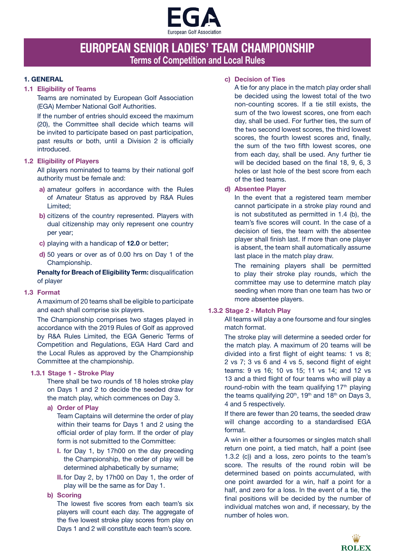

# **EUROPEAN SENIOR LADIES' TEAM CHAMPIONSHIP Terms of Competition and Local Rules**

## **1. GENERAL**

## **1.1 Eligibility of Teams**

Teams are nominated by European Golf Association (EGA) Member National Golf Authorities.

If the number of entries should exceed the maximum (20), the Committee shall decide which teams will be invited to participate based on past participation, past results or both, until a Division 2 is officially introduced.

### **1.2 Eligibility of Players**

All players nominated to teams by their national golf authority must be female and:

- **a)** amateur golfers in accordance with the Rules of Amateur Status as approved by R&A Rules Limited;
- **b)** citizens of the country represented. Players with dual citizenship may only represent one country per year;
- **c)** playing with a handicap of **12.0** or better;
- **d)** 50 years or over as of 0.00 hrs on Day 1 of the Championship.

**Penalty for Breach of Eligibility Term:** disqualification of player

### **1.3 Format**

A maximum of 20 teams shall be eligible to participate and each shall comprise six players.

The Championship comprises two stages played in accordance with the 2019 Rules of Golf as approved by R&A Rules Limited, the EGA Generic Terms of Competition and Regulations, EGA Hard Card and the Local Rules as approved by the Championship Committee at the championship.

### **1.3.1 Stage 1 - Stroke Play**

There shall be two rounds of 18 holes stroke play on Days 1 and 2 to decide the seeded draw for the match play, which commences on Day 3.

**a) Order of Play**

Team Captains will determine the order of play within their teams for Days 1 and 2 using the official order of play form. If the order of play form is not submitted to the Committee:

- **I.** for Day 1, by 17h00 on the day preceding the Championship, the order of play will be determined alphabetically by surname;
- **II.**for Day 2, by 17h00 on Day 1, the order of play will be the same as for Day 1.

## **b) Scoring**

The lowest five scores from each team's six players will count each day. The aggregate of the five lowest stroke play scores from play on Days 1 and 2 will constitute each team's score.

# **c) Decision of Ties**

A tie for any place in the match play order shall be decided using the lowest total of the two non-counting scores. If a tie still exists, the sum of the two lowest scores, one from each day, shall be used. For further ties, the sum of the two second lowest scores, the third lowest scores, the fourth lowest scores and, finally, the sum of the two fifth lowest scores, one from each day, shall be used. Any further tie will be decided based on the final 18, 9, 6, 3 holes or last hole of the best score from each of the tied teams.

# **d) Absentee Player**

In the event that a registered team member cannot participate in a stroke play round and is not substituted as permitted in 1.4 (b), the team's five scores will count. In the case of a decision of ties, the team with the absentee player shall finish last. If more than one player is absent, the team shall automatically assume last place in the match play draw.

The remaining players shall be permitted to play their stroke play rounds, which the committee may use to determine match play seeding when more than one team has two or more absentee players.

# **1.3.2 Stage 2 - Match Play**

All teams will play a one foursome and four singles match format.

The stroke play will determine a seeded order for the match play. A maximum of 20 teams will be divided into a first flight of eight teams: 1 vs 8; 2 vs 7; 3 vs 6 and 4 vs 5, second flight of eight teams: 9 vs 16; 10 vs 15; 11 vs 14; and 12 vs 13 and a third flight of four teams who will play a round-robin with the team qualifying  $17<sup>th</sup>$  playing the teams qualifying  $20<sup>th</sup>$ , 19<sup>th</sup> and 18<sup>th</sup> on Days 3, 4 and 5 respectively.

If there are fewer than 20 teams, the seeded draw will change according to a standardised EGA format.

A win in either a foursomes or singles match shall return one point, a tied match, half a point (see 1.3.2 (c)) and a loss, zero points to the team's score. The results of the round robin will be determined based on points accumulated, with one point awarded for a win, half a point for a half, and zero for a loss. In the event of a tie, the final positions will be decided by the number of individual matches won and, if necessary, by the number of holes won.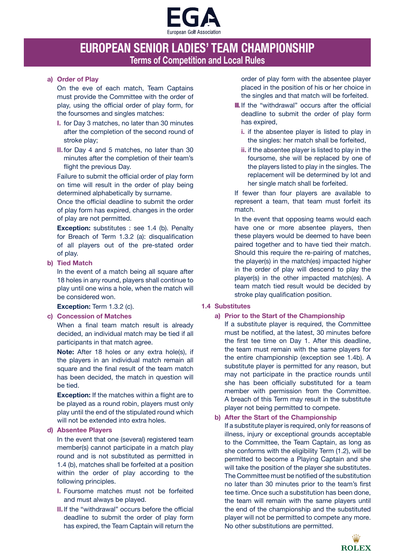

# **EUROPEAN SENIOR LADIES' TEAM CHAMPIONSHIP Terms of Competition and Local Rules**

## **a) Order of Play**

On the eve of each match, Team Captains must provide the Committee with the order of play, using the official order of play form, for the foursomes and singles matches:

- **I.** for Day 3 matches, no later than 30 minutes after the completion of the second round of stroke play;
- **II.**for Day 4 and 5 matches, no later than 30 minutes after the completion of their team's flight the previous Day.

Failure to submit the official order of play form on time will result in the order of play being determined alphabetically by surname.

Once the official deadline to submit the order of play form has expired, changes in the order of play are not permitted.

**Exception:** substitutes : see 1.4 (b). Penalty for Breach of Term 1.3.2 (a): disqualification of all players out of the pre-stated order of play.

### **b) Tied Match**

In the event of a match being all square after 18 holes in any round, players shall continue to play until one wins a hole, when the match will be considered won.

**Exception:** Term 1.3.2 (c).

### **c) Concession of Matches**

When a final team match result is already decided, an individual match may be tied if all participants in that match agree.

**Note:** After 18 holes or any extra hole(s), if the players in an individual match remain all square and the final result of the team match has been decided, the match in question will be tied.

**Exception:** If the matches within a flight are to be played as a round robin, players must only play until the end of the stipulated round which will not be extended into extra holes.

### **d) Absentee Players**

In the event that one (several) registered team member(s) cannot participate in a match play round and is not substituted as permitted in 1.4 (b), matches shall be forfeited at a position within the order of play according to the following principles.

- **I.** Foursome matches must not be forfeited and must always be played.
- **II.**If the "withdrawal" occurs before the official deadline to submit the order of play form has expired, the Team Captain will return the

order of play form with the absentee player placed in the position of his or her choice in the singles and that match will be forfeited.

- **III.** If the "withdrawal" occurs after the official deadline to submit the order of play form has expired,
	- **i.** if the absentee player is listed to play in the singles: her match shall be forfeited,
	- **ii.** if the absentee player is listed to play in the foursome, she will be replaced by one of the players listed to play in the singles. The replacement will be determined by lot and her single match shall be forfeited.

If fewer than four players are available to represent a team, that team must forfeit its match.

In the event that opposing teams would each have one or more absentee players, then these players would be deemed to have been paired together and to have tied their match. Should this require the re-pairing of matches. the player(s) in the match(es) impacted higher in the order of play will descend to play the player(s) in the other impacted match(es). A team match tied result would be decided by stroke play qualification position.

# **1.4 Substitutes**

# **a) Prior to the Start of the Championship**

If a substitute player is required, the Committee must be notified, at the latest, 30 minutes before the first tee time on Day 1. After this deadline, the team must remain with the same players for the entire championship (exception see 1.4b). A substitute player is permitted for any reason, but may not participate in the practice rounds until she has been officially substituted for a team member with permission from the Committee. A breach of this Term may result in the substitute player not being permitted to compete.

# **b) After the Start of the Championship**

If a substitute player is required, only for reasons of illness, injury or exceptional grounds acceptable to the Committee, the Team Captain, as long as she conforms with the eligibility Term (1.2), will be permitted to become a Playing Captain and she will take the position of the player she substitutes. The Committee must be notified of the substitution no later than 30 minutes prior to the team's first tee time. Once such a substitution has been done, the team will remain with the same players until the end of the championship and the substituted player will not be permitted to compete any more. No other substitutions are permitted.